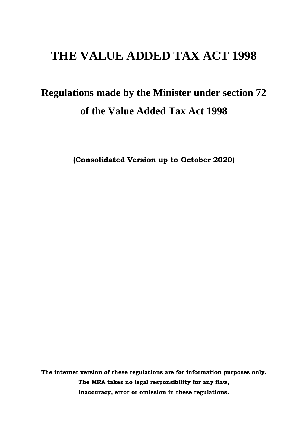## **THE VALUE ADDED TAX ACT 1998**

# **Regulations made by the Minister under section 72 of the Value Added Tax Act 1998**

**(Consolidated Version up to October 2020)**

**The internet version of these regulations are for information purposes only. The MRA takes no legal responsibility for any flaw, inaccuracy, error or omission in these regulations.**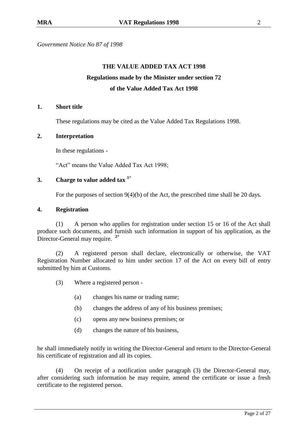*Government Notice No 87 of 1998*

## **THE VALUE ADDED TAX ACT 1998 Regulations made by the Minister under section 72 of the Value Added Tax Act 1998**

### **1. Short title**

These regulations may be cited as the Value Added Tax Regulations 1998.

### **2. Interpretation**

In these regulations -

"Act" means the Value Added Tax Act 1998;

## **3. Charge to value added tax <sup>1</sup>**\*

For the purposes of section 9(4)(b) of the Act, the prescribed time shall be 20 days*.*

### **4. Registration**

(1) A person who applies for registration under section 15 or 16 of the Act shall produce such documents, and furnish such information in support of his application, as the Director-General may require. **<sup>2</sup>**\*

(2) A registered person shall declare, electronically or otherwise, the VAT Registration Number allocated to him under section 17 of the Act on every bill of entry submitted by him at Customs.

(3) Where a registered person -

- (a) changes his name or trading name;
- (b) changes the address of any of his business premises;
- (c) opens any new business premises; or
- (d) changes the nature of his business,

he shall immediately notify in writing the Director-General and return to the Director-General his certificate of registration and all its copies.

(4) On receipt of a notification under paragraph (3) the Director-General may, after considering such information he may require, amend the certificate or issue a fresh certificate to the registered person.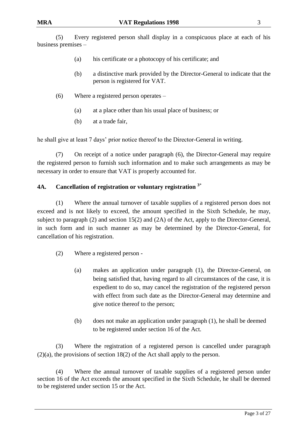(5) Every registered person shall display in a conspicuous place at each of his business premises –

- (a) his certificate or a photocopy of his certificate; and
- (b) a distinctive mark provided by the Director-General to indicate that the person is registered for VAT.
- (6) Where a registered person operates
	- (a) at a place other than his usual place of business; or
	- (b) at a trade fair,

he shall give at least 7 days' prior notice thereof to the Director-General in writing.

(7) On receipt of a notice under paragraph (6), the Director-General may require the registered person to furnish such information and to make such arrangements as may be necessary in order to ensure that VAT is properly accounted for.

## **4A. Cancellation of registration or voluntary registration <sup>3</sup>**\*

(1) Where the annual turnover of taxable supplies of a registered person does not exceed and is not likely to exceed, the amount specified in the Sixth Schedule, he may, subject to paragraph (2) and section 15(2) and (2A) of the Act, apply to the Director-General, in such form and in such manner as may be determined by the Director-General, for cancellation of his registration.

- (2) Where a registered person
	- (a) makes an application under paragraph (1), the Director-General, on being satisfied that, having regard to all circumstances of the case, it is expedient to do so, may cancel the registration of the registered person with effect from such date as the Director-General may determine and give notice thereof to the person;
	- (b) does not make an application under paragraph (1), he shall be deemed to be registered under section 16 of the Act.

(3) Where the registration of a registered person is cancelled under paragraph (2)(a), the provisions of section 18(2) of the Act shall apply to the person.

(4) Where the annual turnover of taxable supplies of a registered person under section 16 of the Act exceeds the amount specified in the Sixth Schedule, he shall be deemed to be registered under section 15 or the Act.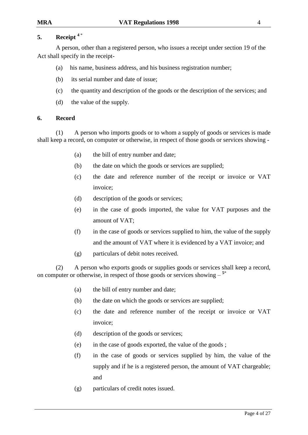## **5. Receipt <sup>4</sup>** \*

A person, other than a registered person, who issues a receipt under section 19 of the Act shall specify in the receipt-

- (a) his name, business address, and his business registration number;
- (b) its serial number and date of issue;
- (c) the quantity and description of the goods or the description of the services; and
- (d) the value of the supply.

## **6. Record**

(1) A person who imports goods or to whom a supply of goods or services is made shall keep a record, on computer or otherwise, in respect of those goods or services showing -

- (a) the bill of entry number and date;
- (b) the date on which the goods or services are supplied;
- (c) the date and reference number of the receipt or invoice or VAT invoice;
- (d) description of the goods or services;
- (e) in the case of goods imported, the value for VAT purposes and the amount of VAT;
- (f) in the case of goods or services supplied to him, the value of the supply and the amount of VAT where it is evidenced by a VAT invoice; and
- (g) particulars of debit notes received.

(2) A person who exports goods or supplies goods or services shall keep a record, on computer or otherwise, in respect of those goods or services showing  $-$ <sup>5\*</sup>

- (a) the bill of entry number and date;
- (b) the date on which the goods or services are supplied;
- (c) the date and reference number of the receipt or invoice or VAT invoice;
- (d) description of the goods or services;
- (e) in the case of goods exported, the value of the goods ;
- (f) in the case of goods or services supplied by him, the value of the supply and if he is a registered person, the amount of VAT chargeable; and
- (g) particulars of credit notes issued.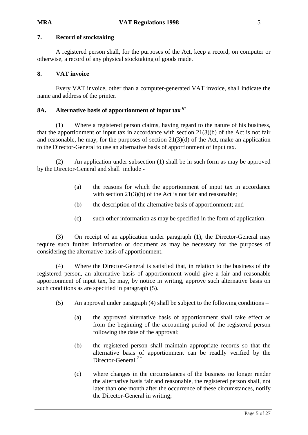## **7. Record of stocktaking**

A registered person shall, for the purposes of the Act, keep a record, on computer or otherwise, a record of any physical stocktaking of goods made.

### **8. VAT invoice**

Every VAT invoice, other than a computer-generated VAT invoice, shall indicate the name and address of the printer.

## **8A. Alternative basis of apportionment of input tax <sup>6</sup>**\*

(1) Where a registered person claims, having regard to the nature of his business, that the apportionment of input tax in accordance with section  $21(3)(b)$  of the Act is not fair and reasonable, he may, for the purposes of section  $21(3)(d)$  of the Act, make an application to the Director-General to use an alternative basis of apportionment of input tax.

(2) An application under subsection (1) shall be in such form as may be approved by the Director-General and shall include -

- (a) the reasons for which the apportionment of input tax in accordance with section 21(3)(b) of the Act is not fair and reasonable;
- (b) the description of the alternative basis of apportionment; and
- (c) such other information as may be specified in the form of application.

(3) On receipt of an application under paragraph (1), the Director-General may require such further information or document as may be necessary for the purposes of considering the alternative basis of apportionment.

(4) Where the Director-General is satisfied that, in relation to the business of the registered person, an alternative basis of apportionment would give a fair and reasonable apportionment of input tax, he may, by notice in writing, approve such alternative basis on such conditions as are specified in paragraph (5).

- (5) An approval under paragraph (4) shall be subject to the following conditions
	- (a) the approved alternative basis of apportionment shall take effect as from the beginning of the accounting period of the registered person following the date of the approval;
	- (b) the registered person shall maintain appropriate records so that the alternative basis of apportionment can be readily verified by the Director-General.**<sup>7</sup>** \*
	- (c) where changes in the circumstances of the business no longer render the alternative basis fair and reasonable, the registered person shall, not later than one month after the occurrence of these circumstances, notify the Director-General in writing;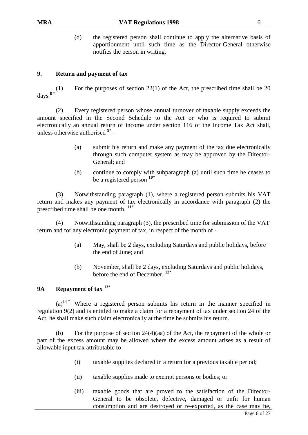(d) the registered person shall continue to apply the alternative basis of apportionment until such time as the Director-General otherwise notifies the person in writing.

## **9. Return and payment of tax**

For the purposes of section  $22(1)$  of the Act, the prescribed time shall be 20 days*.* **8** \*

(2) Every registered person whose annual turnover of taxable supply exceeds the amount specified in the Second Schedule to the Act or who is required to submit electronically an annual return of income under section 116 of the Income Tax Act shall, unless otherwise authorised **<sup>9</sup>**\* –

- (a) submit his return and make any payment of the tax due electronically through such computer system as may be approved by the Director-General; and
- (b) continue to comply with subparagraph (a) until such time he ceases to be a registered person **<sup>10</sup>**\*

(3) Notwithstanding paragraph (1), where a registered person submits his VAT return and makes any payment of tax electronically in accordance with paragraph (2) the prescribed time shall be one month. **<sup>11</sup>**\*

(4) Notwithstanding paragraph (3), the prescribed time for submission of the VAT return and for any electronic payment of tax, in respect of the month of -

- (a) May, shall be 2 days, excluding Saturdays and public holidays, before the end of June; and
- (b) November, shall be 2 days, excluding Saturdays and public holidays, before the end of December. **<sup>12</sup>**\*

## **9A Repayment of tax 13\***

 $(a)^{14}$  Where a registered person submits his return in the manner specified in regulation 9(2) and is entitled to make a claim for a repayment of tax under section 24 of the Act, he shall make such claim electronically at the time he submits his return.

(b) For the purpose of section 24(4)(aa) of the Act, the repayment of the whole or part of the excess amount may be allowed where the excess amount arises as a result of allowable input tax attributable to -

- (i) taxable supplies declared in a return for a previous taxable period;
- (ii) taxable supplies made to exempt persons or bodies; or
- (iii) taxable goods that are proved to the satisfaction of the Director-General to be obsolete, defective, damaged or unfit for human consumption and are destroyed or re-exported, as the case may be,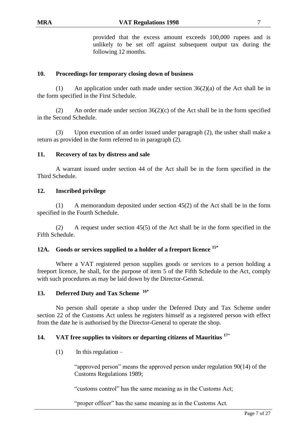provided that the excess amount exceeds 100,000 rupees and is unlikely to be set off against subsequent output tax during the following 12 months.

## **10. Proceedings for temporary closing down of business**

(1) An application under oath made under section 36(2)(a) of the Act shall be in the form specified in the First Schedule.

(2) An order made under section  $36(2)(c)$  of the Act shall be in the form specified in the Second Schedule.

(3) Upon execution of an order issued under paragraph (2), the usher shall make a return as provided in the form referred to in paragraph (2).

## **11. Recovery of tax by distress and sale**

A warrant issued under section 44 of the Act shall be in the form specified in the Third Schedule.

## **12. Inscribed privilege**

(1) A memorandum deposited under section 45(2) of the Act shall be in the form specified in the Fourth Schedule.

(2) A request under section 45(5) of the Act shall be in the form specified in the Fifth Schedule.

## **12A. Goods or services supplied to a holder of a freeport licence 15\***

Where a VAT registered person supplies goods or services to a person holding a freeport licence, he shall, for the purpose of item 5 of the Fifth Schedule to the Act, comply with such procedures as may be laid down by the Director-General*.* 

## **13. Deferred Duty and Tax Scheme 16\***

No person shall operate a shop under the Deferred Duty and Tax Scheme under section 22 of the Customs Act unless he registers himself as a registered person with effect from the date he is authorised by the Director-General to operate the shop.

## **14. VAT free supplies to visitors or departing citizens of Mauritius <sup>17</sup>**\*

 $(1)$  In this regulation –

"approved person" means the approved person under regulation 90(14) of the Customs Regulations 1989;

"customs control" has the same meaning as in the Customs Act;

"proper officer" has the same meaning as in the Customs Act.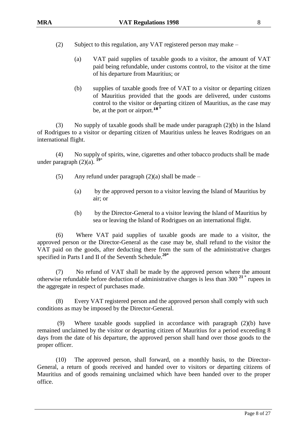- (2) Subject to this regulation, any VAT registered person may make
	- (a) VAT paid supplies of taxable goods to a visitor, the amount of VAT paid being refundable, under customs control, to the visitor at the time of his departure from Mauritius; or
	- (b) supplies of taxable goods free of VAT to a visitor or departing citizen of Mauritius provided that the goods are delivered, under customs control to the visitor or departing citizen of Mauritius, as the case may be, at the port or airport.**<sup>18</sup> \***

(3) No supply of taxable goods shall be made under paragraph (2)(b) in the Island of Rodrigues to a visitor or departing citizen of Mauritius unless he leaves Rodrigues on an international flight.

(4) No supply of spirits, wine, cigarettes and other tobacco products shall be made under paragraph (2)(a). **19**\*

- (5) Any refund under paragraph  $(2)(a)$  shall be made
	- (a) by the approved person to a visitor leaving the Island of Mauritius by air; or
	- (b) by the Director-General to a visitor leaving the Island of Mauritius by sea or leaving the Island of Rodrigues on an international flight.

(6) Where VAT paid supplies of taxable goods are made to a visitor, the approved person or the Director-General as the case may be, shall refund to the visitor the VAT paid on the goods, after deducting there from the sum of the administrative charges specified in Parts I and II of the Seventh Schedule.**20\***

(7) No refund of VAT shall be made by the approved person where the amount otherwise refundable before deduction of administrative charges is less than 300 **<sup>21</sup>** \* rupees in the aggregate in respect of purchases made.

(8) Every VAT registered person and the approved person shall comply with such conditions as may be imposed by the Director-General.

Where taxable goods supplied in accordance with paragraph  $(2)(b)$  have remained unclaimed by the visitor or departing citizen of Mauritius for a period exceeding 8 days from the date of his departure, the approved person shall hand over those goods to the proper officer.

(10) The approved person, shall forward, on a monthly basis, to the Director-General, a return of goods received and handed over to visitors or departing citizens of Mauritius and of goods remaining unclaimed which have been handed over to the proper office.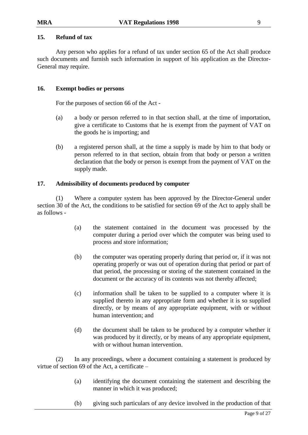## **15. Refund of tax**

Any person who applies for a refund of tax under section 65 of the Act shall produce such documents and furnish such information in support of his application as the Director-General may require.

## **16. Exempt bodies or persons**

For the purposes of section 66 of the Act -

- (a) a body or person referred to in that section shall, at the time of importation, give a certificate to Customs that he is exempt from the payment of VAT on the goods he is importing; and
- (b) a registered person shall, at the time a supply is made by him to that body or person referred to in that section, obtain from that body or person a written declaration that the body or person is exempt from the payment of VAT on the supply made.

### **17. Admissibility of documents produced by computer**

(1) Where a computer system has been approved by the Director-General under section 30 of the Act, the conditions to be satisfied for section 69 of the Act to apply shall be as follows -

- (a) the statement contained in the document was processed by the computer during a period over which the computer was being used to process and store information;
- (b) the computer was operating properly during that period or, if it was not operating properly or was out of operation during that period or part of that period, the processing or storing of the statement contained in the document or the accuracy of its contents was not thereby affected;
- (c) information shall be taken to be supplied to a computer where it is supplied thereto in any appropriate form and whether it is so supplied directly, or by means of any appropriate equipment, with or without human intervention; and
- (d) the document shall be taken to be produced by a computer whether it was produced by it directly, or by means of any appropriate equipment, with or without human intervention.

(2) In any proceedings, where a document containing a statement is produced by virtue of section 69 of the Act, a certificate –

- (a) identifying the document containing the statement and describing the manner in which it was produced;
- (b) giving such particulars of any device involved in the production of that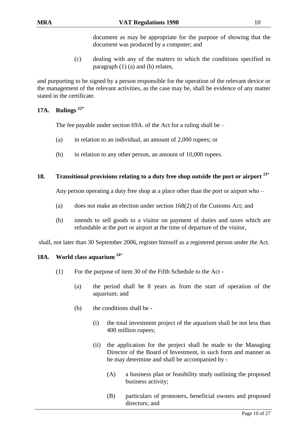document as may be appropriate for the purpose of showing that the document was produced by a computer; and

(c) dealing with any of the matters to which the conditions specified in paragraph (1) (a) and (b) relates,

and purporting to be signed by a person responsible for the operation of the relevant device or the management of the relevant activities, as the case may be, shall be evidence of any matter stated in the certificate.

## **17A. Rulings 22\***

The fee payable under section 69A. of the Act for a ruling shall be –

- (a) in relation to an individual, an amount of 2,000 rupees; or
- (b) in relation to any other person, an amount of 10,000 rupees.

## **18. Transitional provisions relating to a duty free shop outside the port or airport <sup>23</sup>**\*

Any person operating a duty free shop at a place other than the port or airport who –

- (a) does not make an election under section 168(2) of the Customs Act; and
- (b) intends to sell goods to a visitor on payment of duties and taxes which are refundable at the port or airport at the time of departure of the visitor,

shall, not later than 30 September 2006, register himself as a registered person under the Act.

## **18A. World class aquarium <sup>24</sup>**\*

- (1) For the purpose of item 30 of the Fifth Schedule to the Act
	- (a) the period shall be 8 years as from the start of operation of the aquarium; and
	- (b) the conditions shall be
		- (i) the total investment project of the aquarium shall be not less than 400 million rupees;
		- (ii) the application for the project shall be made to the Managing Director of the Board of Investment, in such form and manner as he may determine and shall be accompanied by -
			- (A) a business plan or feasibility study outlining the proposed business activity;
			- (B) particulars of promoters, beneficial owners and proposed directors; and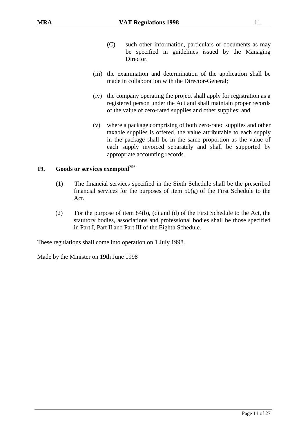- (C) such other information, particulars or documents as may be specified in guidelines issued by the Managing Director.
- (iii) the examination and determination of the application shall be made in collaboration with the Director-General;
- (iv) the company operating the project shall apply for registration as a registered person under the Act and shall maintain proper records of the value of zero-rated supplies and other supplies; and
- (v) where a package comprising of both zero-rated supplies and other taxable supplies is offered, the value attributable to each supply in the package shall be in the same proportion as the value of each supply invoiced separately and shall be supported by appropriate accounting records.

## **19. Goods or services exempted<sup>25</sup>**\*

- (1) The financial services specified in the Sixth Schedule shall be the prescribed financial services for the purposes of item  $50(g)$  of the First Schedule to the Act.
- (2) For the purpose of item 84(b), (c) and (d) of the First Schedule to the Act, the statutory bodies, associations and professional bodies shall be those specified in Part I, Part II and Part III of the Eighth Schedule.

These regulations shall come into operation on 1 July 1998.

Made by the Minister on 19th June 1998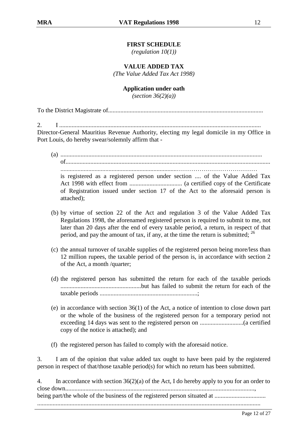*(regulation 10(1))*

**VALUE ADDED TAX**

*(The Value Added Tax Act 1998)*

### **Application under oath**

*(section 36(2)(a))*

To the District Magistrate of....................................................................................................

2. I ..................................................................................................................................

Director-General Mauritius Revenue Authority, electing my legal domicile in my Office in Port Louis, do hereby swear/solemnly affirm that -

(a) .................................................................................................................................. of.................................................................................................................................... ...........................................................................…………………………………

is registered as a registered person under section .... of the Value Added Tax Act 1998 with effect from .................................. (a certified copy of the Certificate of Registration issued under section 17 of the Act to the aforesaid person is attached);

- (b) by virtue of section 22 of the Act and regulation 3 of the Value Added Tax Regulations 1998, the aforenamed registered person is required to submit to me, not later than 20 days after the end of every taxable period, a return, in respect of that period, and pay the amount of tax, if any, at the time the return is submitted;  $^{26}$
- (c) the annual turnover of taxable supplies of the registered person being more/less than 12 million rupees, the taxable period of the person is, in accordance with section 2 of the Act, a month /quarter;
- (d) the registered person has submitted the return for each of the taxable periods ....................................................but has failed to submit the return for each of the taxable periods ...............................................................;
- (e) in accordance with section 36(1) of the Act, a notice of intention to close down part or the whole of the business of the registered person for a temporary period not exceeding 14 days was sent to the registered person on ............................(a certified copy of the notice is attached); and
- (f) the registered person has failed to comply with the aforesaid notice.

3. I am of the opinion that value added tax ought to have been paid by the registered person in respect of that/those taxable period(s) for which no return has been submitted.

4. In accordance with section 36(2)(a) of the Act, I do hereby apply to you for an order to close down.........................................................................................................................., being part/the whole of the business of the registered person situated at ................................. ................................................................................................................................................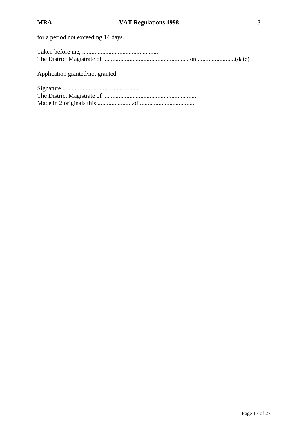for a period not exceeding 14 days.

Application granted/not granted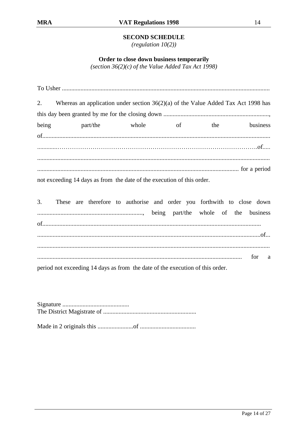## **SECOND SCHEDULE**

(regulation  $10(2)$ )

Order to close down business temporarily

(section  $36(2)(c)$  of the Value Added Tax Act 1998)

| 2. Whereas an application under section 36(2)(a) of the Value Added Tax Act 1998 has |                   |     |          |
|--------------------------------------------------------------------------------------|-------------------|-----|----------|
|                                                                                      |                   |     |          |
| being                                                                                | part/the whole of | the | business |
|                                                                                      |                   |     |          |
|                                                                                      |                   |     |          |
|                                                                                      |                   |     |          |
|                                                                                      |                   |     |          |
| not exceeding 14 days as from the date of the execution of this order.               |                   |     |          |
|                                                                                      |                   |     |          |
| 3. These are therefore to authorise and order you forthwith to close down            |                   |     |          |
|                                                                                      |                   |     |          |
|                                                                                      |                   |     |          |

for a  $\ddotsc$ 

period not exceeding 14 days as from the date of the execution of this order.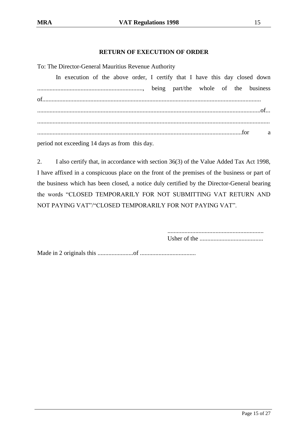## **RETURN OF EXECUTION OF ORDER**

To: The Director-General Mauritius Revenue Authority

In execution of the above order, I certify that I have this day closed down ...................................................................., being part/the whole of the business of............................................................................................................................................. ................................................................................................................................................of... ...................................................................................................................................................... ....................................................................................................................................for a period not exceeding 14 days as from this day.

2. I also certify that, in accordance with section 36(3) of the Value Added Tax Act 1998, I have affixed in a conspicuous place on the front of the premises of the business or part of the business which has been closed, a notice duly certified by the Director-General bearing the words "CLOSED TEMPORARILY FOR NOT SUBMITTING VAT RETURN AND NOT PAYING VAT"/"CLOSED TEMPORARILY FOR NOT PAYING VAT".

> .............................................................. Usher of the .........................................

Made in 2 originals this .......................of ....................................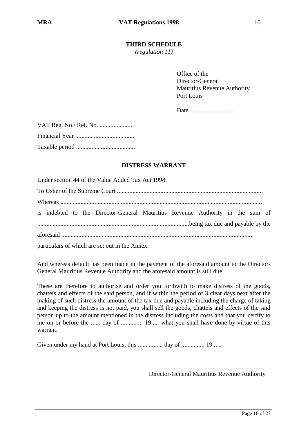## **THIRD SCHEDULE**

*(regulation 11)*

Office of the Director-General Mauritius Revenue Authority Port Louis

Date ..............................

## **DISTRESS WARRANT**

Under section 44 of the Value Added Tax Act 1998.

To Usher of the Supreme Court ..............................................................................................

Whereas ..................................................................................................................................

is indebted to the Director-General Mauritius Revenue Authority in the sum of ..................................................................................................being tax due and payable by the

aforesaid ............................................................................................................................

particulars of which are set out in the Annex.

And whereas default has been made in the payment of the aforesaid amount to the Director-General Mauritius Revenue Authority and the aforesaid amount is still due.

These are therefore to authorise and order you forthwith to make distress of the goods, chattels and effects of the said person, and if within the period of 3 clear days next after the making of such distress the amount of the tax due and payable including the charge of taking and keeping the distress is not paid, you shall sell the goods, chattels and effects of the said person up to the amount mentioned in the distress including the costs and that you certify to me on or before the ...... day of ............... 19..... what you shall have done by virtue of this warrant.

Given under my hand at Port Louis, this ................ day of ............... 19......

……….............................................................. Director-General Mauritius Revenue Authority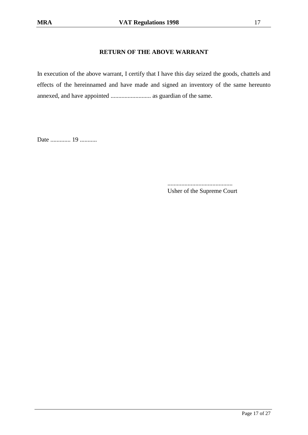## **RETURN OF THE ABOVE WARRANT**

In execution of the above warrant, I certify that I have this day seized the goods, chattels and effects of the hereinnamed and have made and signed an inventory of the same hereunto annexed, and have appointed .......................... as guardian of the same.

Date ............. 19 ...........

.......................................... Usher of the Supreme Court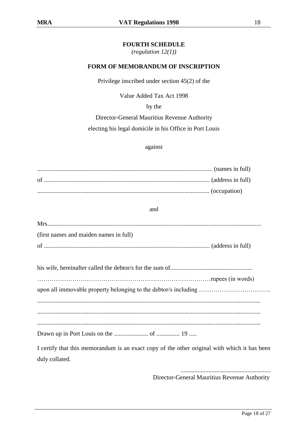*(regulation 12(1))*

#### **FORM OF MEMORANDUM OF INSCRIPTION**

Privilege inscribed under section 45(2) of the

Value Added Tax Act 1998

by the

Director-General Mauritius Revenue Authority

electing his legal domicile in his Office in Port Louis

#### against

................................................................................................................. (names in full) of ........................................................................................................... (address in full) ............................................................................................................... (occupation)

and

| (first names and maiden names in full)                          |  |
|-----------------------------------------------------------------|--|
|                                                                 |  |
|                                                                 |  |
| upon all immovable property belonging to the debtor/s including |  |
|                                                                 |  |

................................................................................................................................................

Drawn up in Port Louis on the ...................... of ............... 19 .....

I certify that this memorandum is an exact copy of the other original with which it has been duly collated.

> .......................................................... Director-General Mauritius Revenue Authority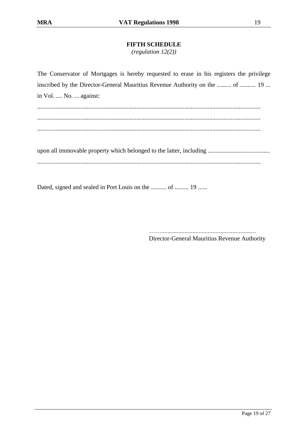## **FIFTH SCHEDULE**

*(regulation 12(2))*

The Conservator of Mortgages is hereby requested to erase in his registers the privilege inscribed by the Director-General Mauritius Revenue Authority on the ......... of .......... 19 ... in Vol. .... No. ... against: ................................................................................................................................................ ................................................................................................................................................ ................................................................................................................................................ upon all immovable property which belonged to the latter, including ........................................ ................................................................................................................................................

Dated, signed and sealed in Port Louis on the .......... of ......... 19 ......

……............................................................. Director-General Mauritius Revenue Authority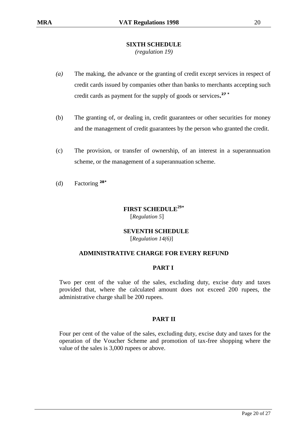## **SIXTH SCHEDULE**

*(regulation 19)*

- *(a)* The making, the advance or the granting of credit except services in respect of credit cards issued by companies other than banks to merchants accepting such credit cards as payment for the supply of goods or services**. 27 \***
- (b) The granting of, or dealing in, credit guarantees or other securities for money and the management of credit guarantees by the person who granted the credit.
- (c) The provision, or transfer of ownership, of an interest in a superannuation scheme, or the management of a superannuation scheme.
- (d) Factoring **28\***

## **FIRST SCHEDULE<sup>29</sup>\*** [*Regulation 5*]

## **SEVENTH SCHEDULE**

[*Regulation 14(6)*]

## **ADMINISTRATIVE CHARGE FOR EVERY REFUND**

## **PART I**

Two per cent of the value of the sales, excluding duty, excise duty and taxes provided that, where the calculated amount does not exceed 200 rupees, the administrative charge shall be 200 rupees.

## **PART II**

Four per cent of the value of the sales, excluding duty, excise duty and taxes for the operation of the Voucher Scheme and promotion of tax-free shopping where the value of the sales is 3,000 rupees or above.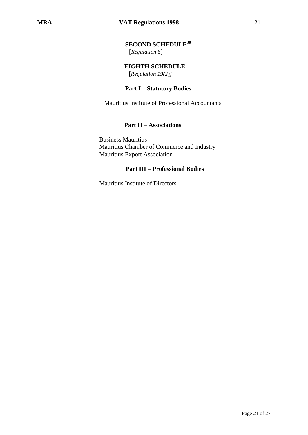## **SECOND SCHEDULE<sup>30</sup>**

[*Regulation 6*]

 **EIGHTH SCHEDULE** [*Regulation 19(2)]*

### **Part I – Statutory Bodies**

Mauritius Institute of Professional Accountants

### **Part II – Associations**

 Business Mauritius Mauritius Chamber of Commerce and Industry Mauritius Export Association

## **Part III – Professional Bodies**

Mauritius Institute of Directors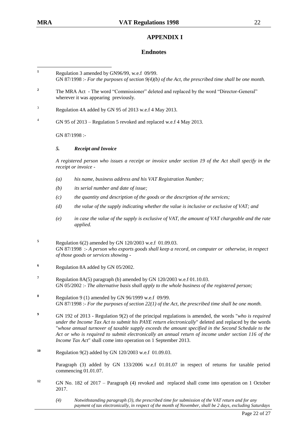## **APPENDIX I**

#### **Endnotes**

 $\mathbf{1}$ **<sup>1</sup>** Regulation 3 amended by GN96/99, w.e.f 09/99.

- GN 87/1998 :- *For the purposes of section 9(4)(b) of the Act, the prescribed time shall be one month.*
- <sup>2</sup> The MRA Act The word "Commissioner" deleted and replaced by the word "Director-General" wherever it was appearing previously.
- <sup>3</sup> Regulation 4A added by GN 95 of 2013 w.e.f 4 May 2013.
- <sup>4</sup> GN 95 of 2013 Regulation 5 revoked and replaced w.e.f 4 May 2013.

GN 87/1998 :-

#### *5. Receipt and Invoice*

*A registered person who issues a receipt or invoice under section 19 of the Act shall specify in the receipt or invoice -*

- *(a) his name, business address and his VAT Registration Number;*
- *(b) its serial number and date of issue;*
- *(c) the quantity and description of the goods or the description of the services;*
- *(d) the value of the supply indicating whether the value is inclusive or exclusive of VAT; and*
- *(e) in case the value of the supply is exclusive of VAT, the amount of VAT chargeable and the rate applied.*
- **<sup>5</sup>** Regulation 6(2) amended by GN 120/2003 w.e.f 01.09.03. GN 87/1998 :- *A person who exports goods shall keep a record, on computer or otherwise, in respect of those goods or services showing -*
- **<sup>6</sup>** Regulation 8A added by GN 05/2002.
- **<sup>7</sup>** Regulation 8A(5) paragraph (b) amended by GN 120/2003 w.e.f 01.10.03. GN 05/2002 :- *The alternative basis shall apply to the whole business of the registered person;*
- **<sup>8</sup>** Regulation 9 (1) amended by GN 96/1999 w.e.f 09/99. GN 87/1998 :- *For the purposes of section 22(1) of the Act, the prescribed time shall be one month.*
- **<sup>9</sup>** GN 192 of 2013 Regulation 9(2) of the principal regulations is amended, the words "*who is required under the Income Tax Act to submit his PAYE return electronically*" deleted and replaced by the words "*whose annual turnover of taxable supply exceeds the amount specified in the Second Schedule to the Act or who is required to submit electronically an annual return of income under section 116 of the Income Tax Act*" shall come into operation on 1 September 2013.
- **<sup>10</sup>** Regulation 9(2) added by GN 120/2003 w.e.f 01.09.03.

Paragraph (3) added by GN 133/2006 w.e.f 01.01.07 in respect of returns for taxable period commencing 01.01.07.

- <sup>12</sup> GN No. 182 of 2017 Paragraph (4) revoked and replaced shall come into operation on 1 October 2017.
	- *(4) Notwithstanding paragraph (3), the prescribed time for submission of the VAT return and for any payment of tax electronically, in respect of the month of November, shall be 2 days, excluding Saturdays*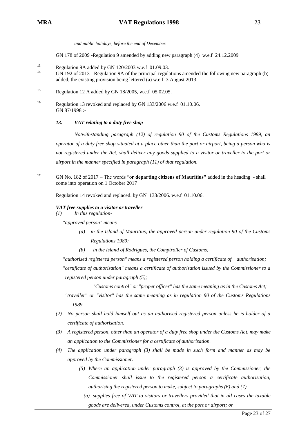*and public holidays, before the end of December.*

GN 178 of 2009 -Regulation 9 amended by adding new paragraph (4) w.e.f 24.12.2009

- **<sup>13</sup>** Regulation 9A added by GN 120/2003 w.e.f 01.09.03.
- **<sup>14</sup>** GN 192 of 2013 Regulation 9A of the principal regulations amended the following new paragraph (b) added, the existing provision being lettered (a) w.e.f 3 August 2013.
- **<sup>15</sup>** Regulation 12 A added by GN 18/2005, w.e.f 05.02.05.
- **<sup>16</sup>** Regulation 13 revoked and replaced by GN 133/2006 w.e.f 01.10.06. GN 87/1998 :-

#### *13. VAT relating to a duty free shop*

*Notwithstanding paragraph (12) of regulation 90 of the Customs Regulations 1989, an operator of a duty free shop situated at a place other than the port or airport, being a person who is not registered under the Act, shall deliver any goods supplied to a visitor or traveller to the port or airport in the manner specified in paragraph (11) of that regulation.*

**<sup>17</sup>** GN No. 182 of 2017 – The words "**or departing citizens of Mauritius"** added in the heading - shall come into operation on 1 October 2017

Regulation 14 revoked and replaced. by GN 133/2006. w.e.f 01.10.06.

#### *VAT free supplies to a visitor or traveller*

*(1) In this regulation-*

*"approved person" means -*

- *(a) in the Island of Mauritius, the approved person under regulation 90 of the Customs Regulations 1989;*
- *(b) in the Island of Rodrigues, the Comptroller of Customs;*

*"authorised registered person" means a registered person holding a certificate of authorisation; "certificate of authorisation" means a certificate of authorisation issued by the Commissioner to a registered person under paragraph (5);* 

*"Customs control" or "proper officer" has the same meaning as in the Customs Act;* 

*"traveller" or "visitor" has the same meaning as in regulation 90 of the Customs Regulations 1989.* 

- *(2) No person shall hold himself out as an authorised registered person unless he is holder of a certificate of authorisation.*
- *(3) A registered person, other than an operator of a duty free shop under the Customs Act, may make an application to the Commissioner for a certificate of authorisation.*
- *(4) The application under paragraph (3) shall be made in such form and manner as may be approved by the Commissioner.* 
	- *(5) Where an application under paragraph (3) is approved by the Commissioner, the Commissioner shall issue to the registered person a certificate authorisation, authorising the registered person to make, subject to paragraphs (6) and (7)* 
		- *(a) supplies free of VAT to visitors or travellers provided that in all cases the taxable goods are delivered, under Customs control, at the port or airport; or*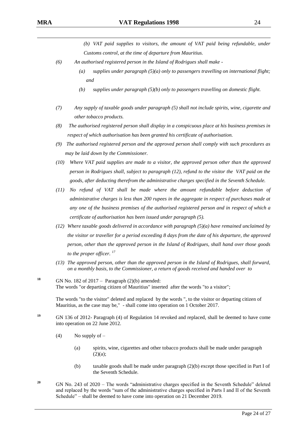(b) VAT paid supplies to visitors, the amount of VAT paid being refundable, under *Customs control, at the time of departure from Mauritius.* 

- *(6) An authorised registered person in the Island of Rodrigues shall make -*
	- *(a) supplies under paragraph (5)(a) only to passengers travelling on international flight; and*
	- *(b) supplies under paragraph (5)(b) only to passengers travelling on domestic flight.*
- *(7) Any supply of taxable goods under paragraph (5) shall not include spirits, wine, cigarette and other tobacco products.*
- *(8) The authorised registered person shall display in a conspicuous place at his business premises in respect of which authorisation has been granted his certificate of authorisation.*
- *(9) The authorised registered person and the approved person shall comply with such procedures as may be laid down by the Commissioner.*
- *(10) Where VAT paid supplies are made to a visitor, the approved person other than the approved person in Rodrigues shall, subject to paragraph (12), refund to the visitor the VAT paid on the goods, after deducting therefrom the administrative charges specified in the Seventh Schedule.*
- *(11) No refund of VAT shall be made where the amount refundable before deduction of administrative charges is less than 200 rupees in the aggregate in respect of purchases made at any one of the business premises of the authorised registered person and in respect of which a certificate of authorisation has been issued under paragraph (5).*
- *(12) Where taxable goods delivered in accordance with paragraph (5)(a) have remained unclaimed by the visitor or traveller for a period exceeding 8 days from the date of his departure, the approved person, other than the approved person in the Island of Rodrigues, shall hand over those goods to the proper officer. <sup>17</sup>*
- *(13) The approved person, other than the approved person in the Island of Rodrigues, shall forward, on a monthly basis, to the Commissioner, a return of goods received and handed over to*
- **18** GN No. 182 of 2017 Paragraph  $(2)(b)$  amended: The words "or departing citizen of Mauritius" inserted after the words "to a visitor";

The words "to the visitor" deleted and replaced by the words ", to the visitor or departing citizen of Mauritius, as the case may be," - shall come into operation on 1 October 2017.

- **<sup>19</sup>** GN 136 of 2012- Paragraph (4) of Regulation 14 revoked and replaced, shall be deemed to have come into operation on 22 June 2012.
	- (4) No supply of  $-$ 
		- (a) spirits, wine, cigarettes and other tobacco products shall be made under paragraph  $(2)(a);$
		- (b) taxable goods shall be made under paragraph  $(2)(b)$  except those specified in Part I of the Seventh Schedule.
- <sup>20</sup> GN No. 243 of 2020 The words "administrative charges specified in the Seventh Schedule" deleted and replaced by the words "sum of the administrative charges specified in Parts I and II of the Seventh Schedule" – shall be deemed to have come into operation on 21 December 2019.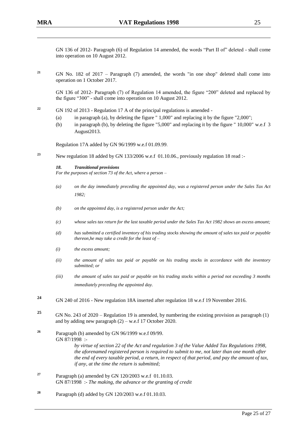GN 136 of 2012- Paragraph (6) of Regulation 14 amended, the words "Part II of" deleted - shall come into operation on 10 August 2012.

**<sup>21</sup>** GN No. 182 of 2017 – Paragraph (7) amended, the words "in one shop" deleted shall come into operation on 1 October 2017.

GN 136 of 2012- Paragraph (7) of Regulation 14 amended, the figure "200" deleted and replaced by the figure "300" - shall come into operation on 10 August 2012.

- **<sup>22</sup>** GN 192 of 2013 Regulation 17 A of the principal regulations is amended
	- (a) in paragraph (a), by deleting the figure " 1,000" and replacing it by the figure "2,000";
	- (b) in paragraph (b), by deleting the figure "5,000" and replacing it by the figure " 10,000" w.e.f 3 August2013.

Regulation 17A added by GN 96/1999 w.e.f 01.09.99.

**<sup>23</sup>** New regulation 18 added by GN 133/2006 w.e.f 01.10.06., previously regulation 18 read :-

#### *18. Transitional provisions*

*For the purposes of section 73 of the Act, where a person –* 

- *(a) on the day immediately preceding the appointed day, was a registered person under the Sales Tax Act 1982;*
- *(b) on the appointed day, is a registered person under the Act;*
- *(c) whose sales tax return for the last taxable period under the Sales Tax Act 1982 shows an excess amount;*
- *(d) has submitted a certified inventory of his trading stocks showing the amount of sales tax paid or payable thereon,he may take a credit for the least of –*
- *(i) the excess amount;*
- *(ii) the amount of sales tax paid or payable on his trading stocks in accordance with the inventory submitted; or*
- *(iii) the amount of sales tax paid or payable on his trading stocks within a period not exceeding 3 months immediately preceding the appointed day.*
- **<sup>24</sup>** GN 240 of 2016 New regulation 18A inserted after regulation 18 w.e.f 19 November 2016.
- **<sup>25</sup>** GN No. 243 of 2020 Regulation 19 is amended, by numbering the existing provision as paragraph (1) and by adding new paragraph (2) – w.e.f 17 October 2020.
- **<sup>26</sup>** Paragraph (b) amended by GN 96/1999 w.e.f 09/99. GN 87/1998 : *by virtue of section 22 of the Act and regulation 3 of the Value Added Tax Regulations 1998, the aforenamed registered person is required to submit to me, not later than one month after the end of every taxable period, a return, in respect of that period, and pay the amount of tax, if any, at the time the return is submitted;*
- **<sup>27</sup>** Paragraph (a) amended by GN 120/2003 w.e.f 01.10.03. GN 87/1998 :- *The making, the advance or the granting of credit*
- **<sup>28</sup>** Paragraph (d) added by GN 120/2003 w.e.f 01.10.03.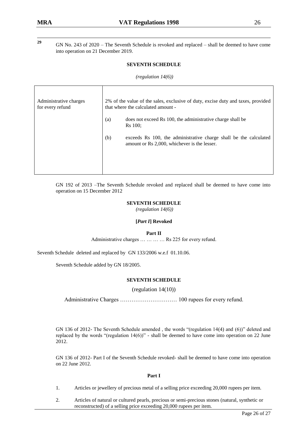29

**<sup>29</sup>** GN No. 243 of 2020 – The Seventh Schedule is revoked and replaced – shall be deemed to have come into operation on 21 December 2019.

#### **SEVENTH SCHEDULE**

#### *(regulation 14(6))*

| Administrative charges<br>for every refund | 2% of the value of the sales, exclusive of duty, excise duty and taxes, provided<br>that where the calculated amount - |                                                                                                                   |
|--------------------------------------------|------------------------------------------------------------------------------------------------------------------------|-------------------------------------------------------------------------------------------------------------------|
|                                            | (a)                                                                                                                    | does not exceed Rs 100, the administrative charge shall be<br><b>Rs</b> 100:                                      |
|                                            | (b)                                                                                                                    | exceeds Rs 100, the administrative charge shall be the calculated<br>amount or Rs 2,000, whichever is the lesser. |
|                                            |                                                                                                                        |                                                                                                                   |

GN 192 of 2013 –The Seventh Schedule revoked and replaced shall be deemed to have come into operation on 15 December 2012

#### **SEVENTH SCHEDULE**

*(regulation 14(6))*

#### **[***Part I***] Revoked**

#### **Part II**

Administrative charges … … … … Rs 225 for every refund.

Seventh Schedule deleted and replaced by GN 133/2006 w.e.f 01.10.06.

Seventh Schedule added by GN 18/2005.

#### **SEVENTH SCHEDULE**

(regulation 14(10))

Administrative Charges ………………………… 100 rupees for every refund.

GN 136 of 2012- The Seventh Schedule amended , the words "(regulation 14(4) and (6))" deleted and replaced by the words "(regulation 14(6))" - shall be deemed to have come into operation on 22 June 2012.

GN 136 of 2012- Part I of the Seventh Schedule revoked- shall be deemed to have come into operation on 22 June 2012.

#### **Part I**

- 1. Articles or jewellery of precious metal of a selling price exceeding 20,000 rupees per item.
- 2. Articles of natural or cultured pearls, precious or semi-precious stones (natural, synthetic or reconstructed) of a selling price exceeding 20,000 rupees per item.